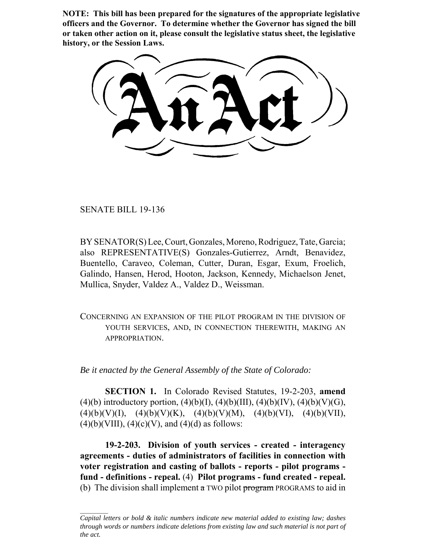**NOTE: This bill has been prepared for the signatures of the appropriate legislative officers and the Governor. To determine whether the Governor has signed the bill or taken other action on it, please consult the legislative status sheet, the legislative history, or the Session Laws.**

SENATE BILL 19-136

BY SENATOR(S) Lee, Court, Gonzales, Moreno, Rodriguez, Tate, Garcia; also REPRESENTATIVE(S) Gonzales-Gutierrez, Arndt, Benavidez, Buentello, Caraveo, Coleman, Cutter, Duran, Esgar, Exum, Froelich, Galindo, Hansen, Herod, Hooton, Jackson, Kennedy, Michaelson Jenet, Mullica, Snyder, Valdez A., Valdez D., Weissman.

CONCERNING AN EXPANSION OF THE PILOT PROGRAM IN THE DIVISION OF YOUTH SERVICES, AND, IN CONNECTION THEREWITH, MAKING AN **APPROPRIATION** 

*Be it enacted by the General Assembly of the State of Colorado:*

**SECTION 1.** In Colorado Revised Statutes, 19-2-203, **amend** (4)(b) introductory portion, (4)(b)(I), (4)(b)(III), (4)(b)(IV), (4)(b)(V)(G),  $(4)(b)(V)(I), (4)(b)(V)(K), (4)(b)(V)(M), (4)(b)(VI), (4)(b)(VII),$  $(4)(b)(VIII)$ ,  $(4)(c)(V)$ , and  $(4)(d)$  as follows:

**19-2-203. Division of youth services - created - interagency agreements - duties of administrators of facilities in connection with voter registration and casting of ballots - reports - pilot programs fund - definitions - repeal.** (4) **Pilot programs - fund created - repeal.** (b) The division shall implement  $\alpha$  TWO pilot program PROGRAMS to aid in

*Capital letters or bold & italic numbers indicate new material added to existing law; dashes through words or numbers indicate deletions from existing law and such material is not part of the act.*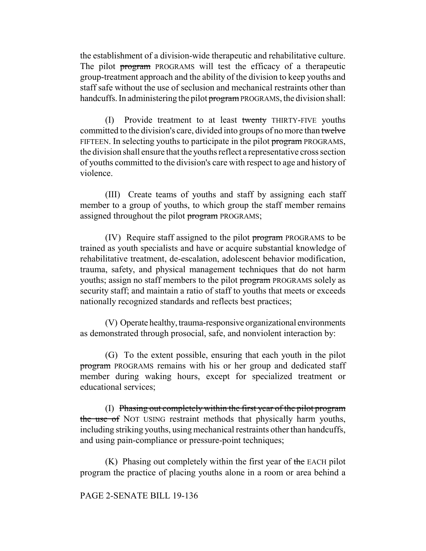the establishment of a division-wide therapeutic and rehabilitative culture. The pilot program PROGRAMS will test the efficacy of a therapeutic group-treatment approach and the ability of the division to keep youths and staff safe without the use of seclusion and mechanical restraints other than handcuffs. In administering the pilot program PROGRAMS, the division shall:

(I) Provide treatment to at least twenty THIRTY-FIVE youths committed to the division's care, divided into groups of no more than twelve FIFTEEN. In selecting youths to participate in the pilot program PROGRAMS, the division shall ensure that the youths reflect a representative cross section of youths committed to the division's care with respect to age and history of violence.

(III) Create teams of youths and staff by assigning each staff member to a group of youths, to which group the staff member remains assigned throughout the pilot program PROGRAMS;

(IV) Require staff assigned to the pilot program PROGRAMS to be trained as youth specialists and have or acquire substantial knowledge of rehabilitative treatment, de-escalation, adolescent behavior modification, trauma, safety, and physical management techniques that do not harm youths; assign no staff members to the pilot program PROGRAMS solely as security staff; and maintain a ratio of staff to youths that meets or exceeds nationally recognized standards and reflects best practices;

(V) Operate healthy, trauma-responsive organizational environments as demonstrated through prosocial, safe, and nonviolent interaction by:

(G) To the extent possible, ensuring that each youth in the pilot program PROGRAMS remains with his or her group and dedicated staff member during waking hours, except for specialized treatment or educational services;

(I) Phasing out completely within the first year of the pilot program the use of NOT USING restraint methods that physically harm youths, including striking youths, using mechanical restraints other than handcuffs, and using pain-compliance or pressure-point techniques;

 $(K)$  Phasing out completely within the first year of the EACH pilot program the practice of placing youths alone in a room or area behind a

## PAGE 2-SENATE BILL 19-136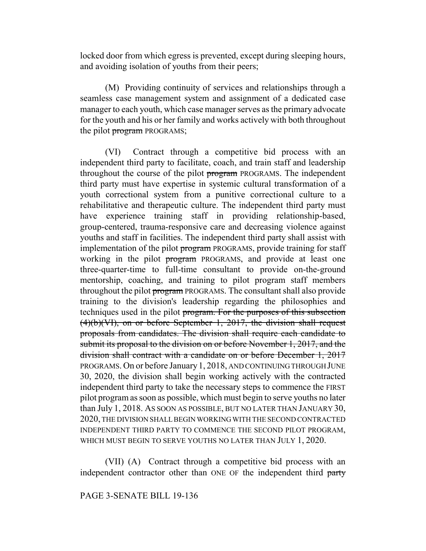locked door from which egress is prevented, except during sleeping hours, and avoiding isolation of youths from their peers;

(M) Providing continuity of services and relationships through a seamless case management system and assignment of a dedicated case manager to each youth, which case manager serves as the primary advocate for the youth and his or her family and works actively with both throughout the pilot program PROGRAMS;

(VI) Contract through a competitive bid process with an independent third party to facilitate, coach, and train staff and leadership throughout the course of the pilot program PROGRAMS. The independent third party must have expertise in systemic cultural transformation of a youth correctional system from a punitive correctional culture to a rehabilitative and therapeutic culture. The independent third party must have experience training staff in providing relationship-based, group-centered, trauma-responsive care and decreasing violence against youths and staff in facilities. The independent third party shall assist with implementation of the pilot program PROGRAMS, provide training for staff working in the pilot program PROGRAMS, and provide at least one three-quarter-time to full-time consultant to provide on-the-ground mentorship, coaching, and training to pilot program staff members throughout the pilot program PROGRAMS. The consultant shall also provide training to the division's leadership regarding the philosophies and techniques used in the pilot program. For the purposes of this subsection (4)(b)(VI), on or before September 1, 2017, the division shall request proposals from candidates. The division shall require each candidate to submit its proposal to the division on or before November 1, 2017, and the division shall contract with a candidate on or before December 1, 2017 PROGRAMS. On or before January 1, 2018, AND CONTINUING THROUGH JUNE 30, 2020, the division shall begin working actively with the contracted independent third party to take the necessary steps to commence the FIRST pilot program as soon as possible, which must begin to serve youths no later than July 1, 2018. AS SOON AS POSSIBLE, BUT NO LATER THAN JANUARY 30, 2020, THE DIVISION SHALL BEGIN WORKING WITH THE SECOND CONTRACTED INDEPENDENT THIRD PARTY TO COMMENCE THE SECOND PILOT PROGRAM, WHICH MUST BEGIN TO SERVE YOUTHS NO LATER THAN JULY 1, 2020.

(VII) (A) Contract through a competitive bid process with an independent contractor other than ONE OF the independent third party

## PAGE 3-SENATE BILL 19-136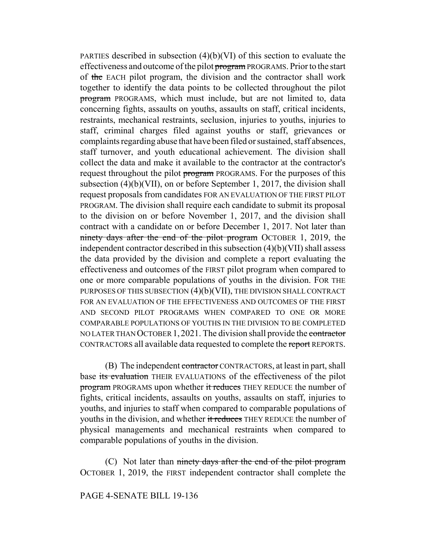PARTIES described in subsection (4)(b)(VI) of this section to evaluate the effectiveness and outcome of the pilot program PROGRAMS. Prior to the start of the EACH pilot program, the division and the contractor shall work together to identify the data points to be collected throughout the pilot program PROGRAMS, which must include, but are not limited to, data concerning fights, assaults on youths, assaults on staff, critical incidents, restraints, mechanical restraints, seclusion, injuries to youths, injuries to staff, criminal charges filed against youths or staff, grievances or complaints regarding abuse that have been filed or sustained, staff absences, staff turnover, and youth educational achievement. The division shall collect the data and make it available to the contractor at the contractor's request throughout the pilot program PROGRAMS. For the purposes of this subsection (4)(b)(VII), on or before September 1, 2017, the division shall request proposals from candidates FOR AN EVALUATION OF THE FIRST PILOT PROGRAM. The division shall require each candidate to submit its proposal to the division on or before November 1, 2017, and the division shall contract with a candidate on or before December 1, 2017. Not later than ninety days after the end of the pilot program OCTOBER 1, 2019, the independent contractor described in this subsection (4)(b)(VII) shall assess the data provided by the division and complete a report evaluating the effectiveness and outcomes of the FIRST pilot program when compared to one or more comparable populations of youths in the division. FOR THE PURPOSES OF THIS SUBSECTION (4)(b)(VII), THE DIVISION SHALL CONTRACT FOR AN EVALUATION OF THE EFFECTIVENESS AND OUTCOMES OF THE FIRST AND SECOND PILOT PROGRAMS WHEN COMPARED TO ONE OR MORE COMPARABLE POPULATIONS OF YOUTHS IN THE DIVISION TO BE COMPLETED NO LATER THAN OCTOBER 1, 2021. The division shall provide the contractor CONTRACTORS all available data requested to complete the report REPORTS.

(B) The independent contractor CONTRACTORS, at least in part, shall base its evaluation THEIR EVALUATIONS of the effectiveness of the pilot program PROGRAMS upon whether it reduces THEY REDUCE the number of fights, critical incidents, assaults on youths, assaults on staff, injuries to youths, and injuries to staff when compared to comparable populations of youths in the division, and whether it reduces THEY REDUCE the number of physical managements and mechanical restraints when compared to comparable populations of youths in the division.

(C) Not later than ninety days after the end of the pilot program OCTOBER 1, 2019, the FIRST independent contractor shall complete the

## PAGE 4-SENATE BILL 19-136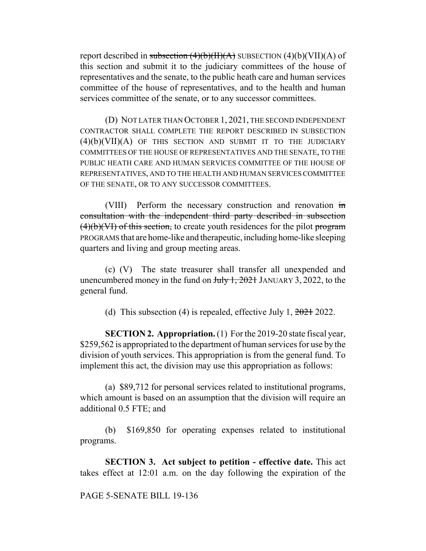report described in subsection  $(4)(b)(H)(A)$  SUBSECTION  $(4)(b)(VII)(A)$  of this section and submit it to the judiciary committees of the house of representatives and the senate, to the public heath care and human services committee of the house of representatives, and to the health and human services committee of the senate, or to any successor committees.

(D) NOT LATER THAN OCTOBER 1, 2021, THE SECOND INDEPENDENT CONTRACTOR SHALL COMPLETE THE REPORT DESCRIBED IN SUBSECTION  $(4)(b)(VII)(A)$  of this section and submit it to the judiciary COMMITTEES OF THE HOUSE OF REPRESENTATIVES AND THE SENATE, TO THE PUBLIC HEATH CARE AND HUMAN SERVICES COMMITTEE OF THE HOUSE OF REPRESENTATIVES, AND TO THE HEALTH AND HUMAN SERVICES COMMITTEE OF THE SENATE, OR TO ANY SUCCESSOR COMMITTEES.

(VIII) Perform the necessary construction and renovation in consultation with the independent third party described in subsection  $(4)(b)(V)$  of this section, to create youth residences for the pilot program PROGRAMS that are home-like and therapeutic, including home-like sleeping quarters and living and group meeting areas.

(c) (V) The state treasurer shall transfer all unexpended and unencumbered money in the fund on  $\frac{\text{H}_y}{1, 2021}$  JANUARY 3, 2022, to the general fund.

(d) This subsection (4) is repealed, effective July 1,  $2021$  2022.

**SECTION 2. Appropriation.** (1) For the 2019-20 state fiscal year, \$259,562 is appropriated to the department of human services for use by the division of youth services. This appropriation is from the general fund. To implement this act, the division may use this appropriation as follows:

(a) \$89,712 for personal services related to institutional programs, which amount is based on an assumption that the division will require an additional 0.5 FTE; and

(b) \$169,850 for operating expenses related to institutional programs.

**SECTION 3. Act subject to petition - effective date.** This act takes effect at 12:01 a.m. on the day following the expiration of the

PAGE 5-SENATE BILL 19-136